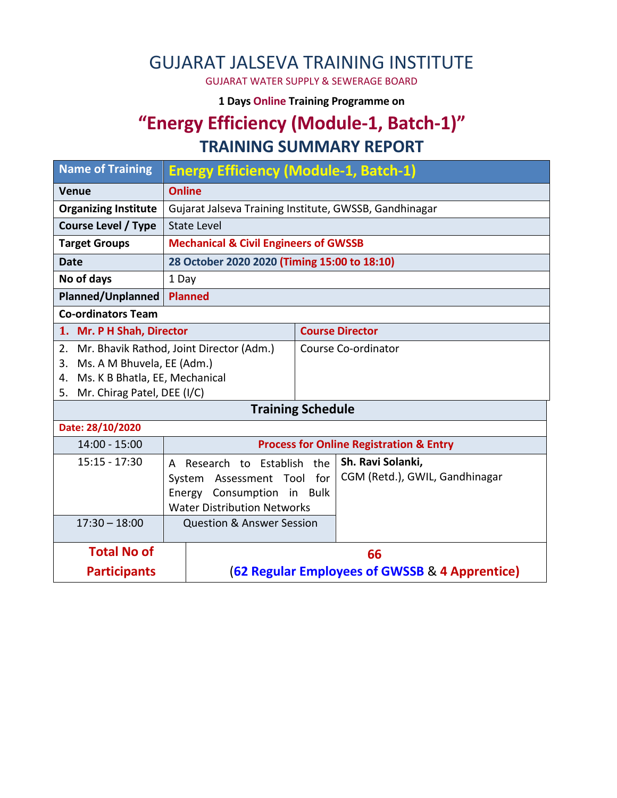# GUJARAT JALSEVA TRAINING INSTITUTE

GUJARAT WATER SUPPLY & SEWERAGE BOARD

**1 Days Online Training Programme on** 

#### **"Energy Efficiency (Module-1, Batch-1)" TRAINING SUMMARY REPORT**

| <b>Name of Training</b>                                    | <b>Energy Efficiency (Module-1, Batch-1)</b>           |                                                    |                                |  |  |
|------------------------------------------------------------|--------------------------------------------------------|----------------------------------------------------|--------------------------------|--|--|
| <b>Venue</b>                                               | <b>Online</b>                                          |                                                    |                                |  |  |
| <b>Organizing Institute</b>                                | Gujarat Jalseva Training Institute, GWSSB, Gandhinagar |                                                    |                                |  |  |
| <b>Course Level / Type</b>                                 | State Level                                            |                                                    |                                |  |  |
| <b>Target Groups</b>                                       | <b>Mechanical &amp; Civil Engineers of GWSSB</b>       |                                                    |                                |  |  |
| <b>Date</b>                                                | 28 October 2020 2020 (Timing 15:00 to 18:10)           |                                                    |                                |  |  |
| No of days                                                 | 1 Day                                                  |                                                    |                                |  |  |
| <b>Planned/Unplanned</b>                                   | <b>Planned</b>                                         |                                                    |                                |  |  |
| <b>Co-ordinators Team</b>                                  |                                                        |                                                    |                                |  |  |
| 1. Mr. P H Shah, Director                                  |                                                        | <b>Course Director</b>                             |                                |  |  |
| Mr. Bhavik Rathod, Joint Director (Adm.)<br>2 <sub>1</sub> |                                                        |                                                    | Course Co-ordinator            |  |  |
| Ms. A M Bhuvela, EE (Adm.)<br>3.                           |                                                        |                                                    |                                |  |  |
| Ms. K B Bhatla, EE, Mechanical<br>4.                       |                                                        |                                                    |                                |  |  |
| 5.                                                         | Mr. Chirag Patel, DEE (I/C)                            |                                                    |                                |  |  |
| <b>Training Schedule</b>                                   |                                                        |                                                    |                                |  |  |
| Date: 28/10/2020                                           |                                                        |                                                    |                                |  |  |
| $14:00 - 15:00$                                            |                                                        |                                                    |                                |  |  |
|                                                            |                                                        | <b>Process for Online Registration &amp; Entry</b> |                                |  |  |
| $15:15 - 17:30$                                            | A Research to Establish                                | the                                                | Sh. Ravi Solanki,              |  |  |
|                                                            | Assessment Tool<br>System                              | for                                                | CGM (Retd.), GWIL, Gandhinagar |  |  |
|                                                            | Energy Consumption                                     | in Bulk                                            |                                |  |  |
|                                                            | <b>Water Distribution Networks</b>                     |                                                    |                                |  |  |
| $17:30 - 18:00$                                            |                                                        | <b>Question &amp; Answer Session</b>               |                                |  |  |
|                                                            |                                                        |                                                    |                                |  |  |
| <b>Total No of</b>                                         |                                                        | 66                                                 |                                |  |  |
| <b>Participants</b>                                        |                                                        | (62 Regular Employees of GWSSB & 4 Apprentice)     |                                |  |  |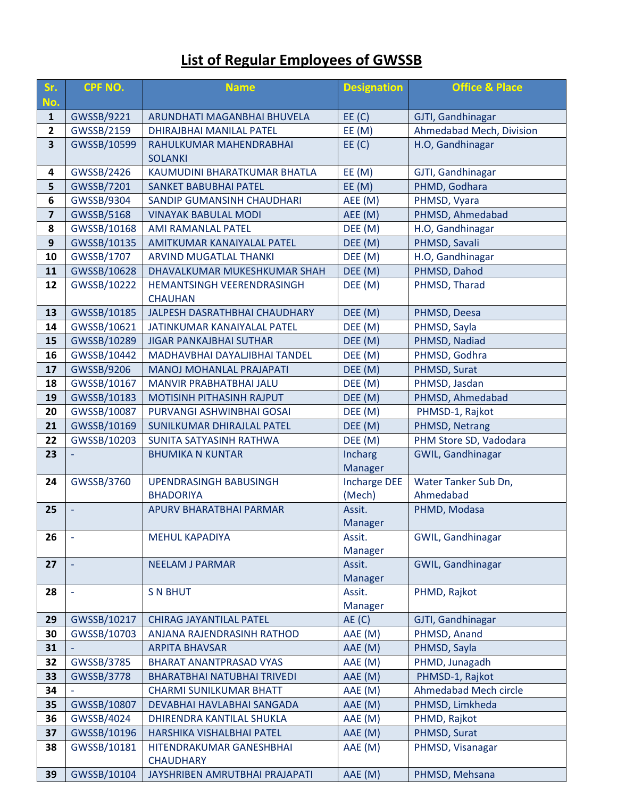### **List of Regular Employees of GWSSB**

| Sr.<br>No.              | <b>CPF NO.</b>                                                         | <b>Name</b>                                                      | <b>Designation</b>            | <b>Office &amp; Place</b>         |
|-------------------------|------------------------------------------------------------------------|------------------------------------------------------------------|-------------------------------|-----------------------------------|
| $\mathbf{1}$            | GWSSB/9221                                                             | ARUNDHATI MAGANBHAI BHUVELA                                      | EE(C)                         | GJTI, Gandhinagar                 |
| $\mathbf{2}$            | GWSSB/2159                                                             | DHIRAJBHAI MANILAL PATEL                                         | EE(M)                         | Ahmedabad Mech, Division          |
| $\overline{\mathbf{3}}$ | GWSSB/10599                                                            | EE(C)<br>RAHULKUMAR MAHENDRABHAI<br><b>SOLANKI</b>               |                               | H.O, Gandhinagar                  |
| 4                       | GWSSB/2426                                                             | KAUMUDINI BHARATKUMAR BHATLA                                     | EE(M)                         | GJTI, Gandhinagar                 |
| 5                       | GWSSB/7201                                                             | <b>SANKET BABUBHAI PATEL</b>                                     | EE(M)                         | PHMD, Godhara                     |
| 6                       | GWSSB/9304                                                             | SANDIP GUMANSINH CHAUDHARI                                       | AEE (M)                       | PHMSD, Vyara                      |
| $\overline{\mathbf{z}}$ | <b>GWSSB/5168</b>                                                      | <b>VINAYAK BABULAL MODI</b>                                      | AEE (M)                       | PHMSD, Ahmedabad                  |
| 8                       | GWSSB/10168                                                            | AMI RAMANLAL PATEL                                               | DEE (M)                       | H.O, Gandhinagar                  |
| 9                       | GWSSB/10135                                                            | AMITKUMAR KANAIYALAL PATEL                                       | DEE (M)                       | PHMSD, Savali                     |
| 10                      | GWSSB/1707                                                             | ARVIND MUGATLAL THANKI                                           | DEE (M)                       | H.O, Gandhinagar                  |
| 11                      | GWSSB/10628                                                            | DHAVALKUMAR MUKESHKUMAR SHAH                                     | DEE (M)                       | PHMSD, Dahod                      |
| 12                      | GWSSB/10222                                                            | DEE (M)<br>HEMANTSINGH VEERENDRASINGH<br><b>CHAUHAN</b>          |                               | PHMSD, Tharad                     |
| 13                      | GWSSB/10185                                                            | JALPESH DASRATHBHAI CHAUDHARY                                    | DEE (M)                       | PHMSD, Deesa                      |
| 14                      | GWSSB/10621                                                            | JATINKUMAR KANAIYALAL PATEL                                      | DEE (M)                       | PHMSD, Sayla                      |
| 15                      | GWSSB/10289                                                            | <b>JIGAR PANKAJBHAI SUTHAR</b>                                   | DEE (M)                       | PHMSD, Nadiad                     |
| 16                      | GWSSB/10442                                                            | DEE (M)<br>MADHAVBHAI DAYALJIBHAI TANDEL                         |                               | PHMSD, Godhra                     |
| 17                      | GWSSB/9206                                                             | <b>MANOJ MOHANLAL PRAJAPATI</b>                                  | DEE (M)                       | PHMSD, Surat                      |
| 18                      | GWSSB/10167                                                            | MANVIR PRABHATBHAI JALU                                          | DEE (M)                       | PHMSD, Jasdan                     |
| 19                      | GWSSB/10183                                                            | MOTISINH PITHASINH RAJPUT                                        | DEE (M)                       | PHMSD, Ahmedabad                  |
| 20                      | GWSSB/10087                                                            | PURVANGI ASHWINBHAI GOSAI                                        | DEE (M)                       | PHMSD-1, Rajkot                   |
| 21                      | GWSSB/10169                                                            | SUNILKUMAR DHIRAJLAL PATEL                                       | DEE (M)                       | PHMSD, Netrang                    |
| 22                      | GWSSB/10203                                                            | SUNITA SATYASINH RATHWA                                          | DEE (M)                       | PHM Store SD, Vadodara            |
| 23                      | <b>BHUMIKA N KUNTAR</b>                                                |                                                                  | Incharg                       | GWIL, Gandhinagar                 |
|                         |                                                                        |                                                                  | <b>Manager</b>                |                                   |
| 24                      | GWSSB/3760                                                             | <b>UPENDRASINGH BABUSINGH</b>                                    | <b>Incharge DEE</b><br>(Mech) | Water Tanker Sub Dn,<br>Ahmedabad |
| 25                      |                                                                        | <b>BHADORIYA</b>                                                 |                               | PHMD, Modasa                      |
|                         |                                                                        | APURV BHARATBHAI PARMAR<br>Assit.<br>Manager                     |                               |                                   |
| 26                      | <b>MEHUL KAPADIYA</b>                                                  |                                                                  | Assit.                        | GWIL, Gandhinagar                 |
|                         |                                                                        |                                                                  | Manager                       |                                   |
| 27                      |                                                                        | GWIL, Gandhinagar<br><b>NEELAM J PARMAR</b><br>Assit.<br>Manager |                               |                                   |
| 28                      |                                                                        | <b>S N BHUT</b>                                                  | Assit.                        | PHMD, Rajkot                      |
|                         |                                                                        |                                                                  | Manager                       |                                   |
| 29                      | GWSSB/10217                                                            | <b>CHIRAG JAYANTILAL PATEL</b>                                   | AE(C)                         | GJTI, Gandhinagar                 |
| 30                      | GWSSB/10703                                                            | ANJANA RAJENDRASINH RATHOD                                       | AAE (M)                       | PHMSD, Anand                      |
| 31                      |                                                                        | <b>ARPITA BHAVSAR</b>                                            | AAE (M)                       | PHMSD, Sayla                      |
| 32                      | GWSSB/3785                                                             | <b>BHARAT ANANTPRASAD VYAS</b>                                   | AAE (M)                       | PHMD, Junagadh                    |
| 33                      | GWSSB/3778                                                             | BHARATBHAI NATUBHAI TRIVEDI                                      | AAE (M)<br>AAE (M)            | PHMSD-1, Rajkot                   |
| 34                      |                                                                        | <b>CHARMI SUNILKUMAR BHATT</b>                                   |                               | Ahmedabad Mech circle             |
| 35                      | GWSSB/10807                                                            | DEVABHAI HAVLABHAI SANGADA                                       | AAE (M)                       | PHMSD, Limkheda                   |
| 36                      | GWSSB/4024                                                             | AAE (M)<br>PHMD, Rajkot<br>DHIRENDRA KANTILAL SHUKLA             |                               |                                   |
| 37                      | GWSSB/10196                                                            | HARSHIKA VISHALBHAI PATEL                                        | AAE (M)                       | PHMSD, Surat                      |
| 38                      | GWSSB/10181<br>AAE (M)<br>HITENDRAKUMAR GANESHBHAI<br>PHMSD, Visanagar |                                                                  |                               |                                   |
| 39                      | GWSSB/10104                                                            | <b>CHAUDHARY</b><br>JAYSHRIBEN AMRUTBHAI PRAJAPATI               | AAE (M)                       | PHMSD, Mehsana                    |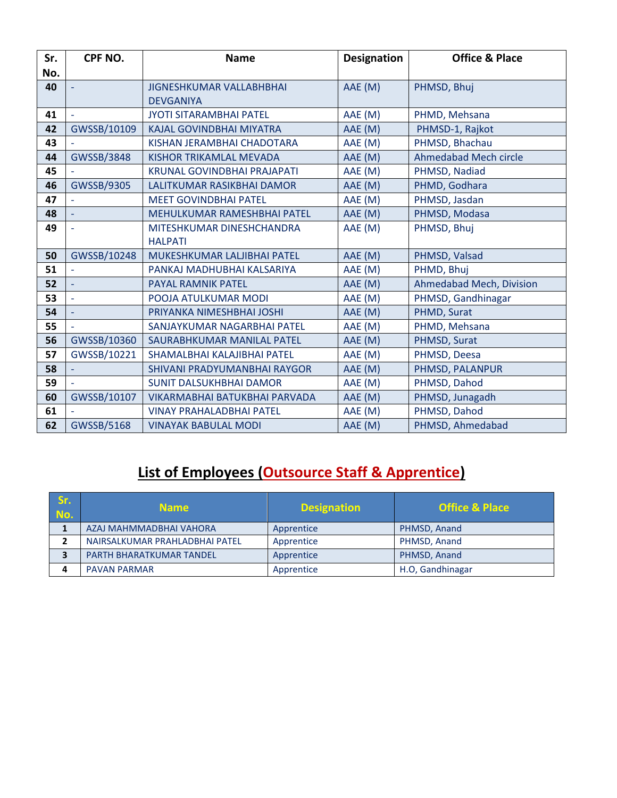| Sr. | CPF NO.             | <b>Name</b>                                              | <b>Designation</b> | <b>Office &amp; Place</b>    |
|-----|---------------------|----------------------------------------------------------|--------------------|------------------------------|
| No. |                     |                                                          |                    |                              |
| 40  |                     | AAE (M)<br><b>JIGNESHKUMAR VALLABHBHAI</b>               |                    | PHMSD, Bhuj                  |
|     |                     | <b>DEVGANIYA</b>                                         |                    |                              |
| 41  | $\bar{\phantom{a}}$ | <b>JYOTI SITARAMBHAI PATEL</b>                           | AAE (M)            | PHMD, Mehsana                |
| 42  | GWSSB/10109         | <b>KAJAL GOVINDBHAI MIYATRA</b>                          | AAE (M)            | PHMSD-1, Rajkot              |
| 43  |                     | KISHAN JERAMBHAI CHADOTARA                               | AAE (M)            | PHMSD, Bhachau               |
| 44  | <b>GWSSB/3848</b>   | <b>KISHOR TRIKAMLAL MEVADA</b>                           | AAE (M)            | <b>Ahmedabad Mech circle</b> |
| 45  |                     | <b>KRUNAL GOVINDBHAI PRAJAPATI</b>                       | AAE (M)            | PHMSD, Nadiad                |
| 46  | GWSSB/9305          | AAE (M)<br>PHMD, Godhara<br>LALITKUMAR RASIKBHAI DAMOR   |                    |                              |
| 47  |                     | <b>MEET GOVINDBHAI PATEL</b><br>AAE (M)<br>PHMSD, Jasdan |                    |                              |
| 48  |                     | AAE (M)<br>PHMSD, Modasa<br>MEHULKUMAR RAMESHBHAI PATEL  |                    |                              |
| 49  |                     | MITESHKUMAR DINESHCHANDRA                                | AAE (M)            | PHMSD, Bhuj                  |
|     |                     | <b>HALPATI</b>                                           |                    |                              |
| 50  | GWSSB/10248         | MUKESHKUMAR LALJIBHAI PATEL                              | AAE (M)            | PHMSD, Valsad                |
| 51  |                     | PANKAJ MADHUBHAI KALSARIYA                               | AAE (M)            | PHMD, Bhuj                   |
| 52  |                     | <b>PAYAL RAMNIK PATEL</b>                                | AAE (M)            | Ahmedabad Mech, Division     |
| 53  | ÷,                  | POOJA ATULKUMAR MODI                                     | AAE (M)            | PHMSD, Gandhinagar           |
| 54  | $\Box$              | PRIYANKA NIMESHBHAI JOSHI                                | AAE (M)            | PHMD, Surat                  |
| 55  |                     | SANJAYKUMAR NAGARBHAI PATEL                              | AAE (M)            | PHMD, Mehsana                |
| 56  | GWSSB/10360         | SAURABHKUMAR MANILAL PATEL                               | AAE (M)            | PHMSD, Surat                 |
| 57  | GWSSB/10221         | SHAMALBHAI KALAJIBHAI PATEL                              | AAE (M)            | PHMSD, Deesa                 |
| 58  |                     | SHIVANI PRADYUMANBHAI RAYGOR                             | AAE (M)            | PHMSD, PALANPUR              |
| 59  |                     | <b>SUNIT DALSUKHBHAI DAMOR</b>                           | AAE (M)            | PHMSD, Dahod                 |
| 60  | GWSSB/10107         | VIKARMABHAI BATUKBHAI PARVADA                            | AAE (M)            | PHMSD, Junagadh              |
| 61  |                     | <b>VINAY PRAHALADBHAI PATEL</b>                          | AAE (M)            | PHMSD, Dahod                 |
| 62  | <b>GWSSB/5168</b>   | <b>VINAYAK BABULAL MODI</b>                              | AAE (M)            | PHMSD, Ahmedabad             |

## **List of Employees (Outsource Staff & Apprentice)**

| Sr.<br>No. | <b>Name</b>                    | <b>Designation</b> | <b>Office &amp; Place</b> |
|------------|--------------------------------|--------------------|---------------------------|
|            | AZAJ MAHMMADBHAI VAHORA        | Apprentice         | PHMSD, Anand              |
|            | NAIRSALKUMAR PRAHLADBHAI PATEL | Apprentice         | PHMSD, Anand              |
| З          | PARTH BHARATKUMAR TANDEL       | Apprentice         | PHMSD, Anand              |
| 4          | <b>PAVAN PARMAR</b>            | Apprentice         | H.O, Gandhinagar          |